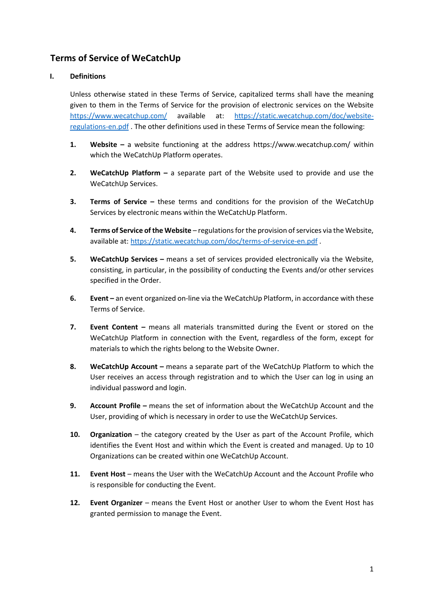# **Terms of Service of WeCatchUp**

# **I. Definitions**

Unless otherwise stated in these Terms of Service, capitalized terms shall have the meaning given to them in the Terms of Service for the provision of electronic services on the Website <https://www.wecatchup.com/> available at: [https://static.wecatchup.com/doc/website](https://static.wecatchup.com/doc/website-regulations-en.pdf)[regulations-en.pdf](https://static.wecatchup.com/doc/website-regulations-en.pdf) . The other definitions used in these Terms of Service mean the following:

- **1. Website –** a website functioning at the address https://www.wecatchup.com/ within which the WeCatchUp Platform operates.
- **2. WeCatchUp Platform –** a separate part of the Website used to provide and use the WeCatchUp Services.
- **3. Terms of Service –** these terms and conditions for the provision of the WeCatchUp Services by electronic means within the WeCatchUp Platform.
- **4. Terms of Service of the Website** regulations for the provision of services via the Website, available at:<https://static.wecatchup.com/doc/terms-of-service-en.pdf> .
- **5. WeCatchUp Services –** means a set of services provided electronically via the Website, consisting, in particular, in the possibility of conducting the Events and/or other services specified in the Order.
- **6. Event** an event organized on-line via the WeCatchUp Platform, in accordance with these Terms of Service.
- **7. Event Content** means all materials transmitted during the Event or stored on the WeCatchUp Platform in connection with the Event, regardless of the form, except for materials to which the rights belong to the Website Owner.
- **8. WeCatchUp Account –** means a separate part of the WeCatchUp Platform to which the User receives an access through registration and to which the User can log in using an individual password and login.
- **9. Account Profile –** means the set of information about the WeCatchUp Account and the User, providing of which is necessary in order to use the WeCatchUp Services.
- **10. Organization** the category created by the User as part of the Account Profile, which identifies the Event Host and within which the Event is created and managed. Up to 10 Organizations can be created within one WeCatchUp Account.
- **11. Event Host** means the User with the WeCatchUp Account and the Account Profile who is responsible for conducting the Event.
- **12. Event Organizer**  means the Event Host or another User to whom the Event Host has granted permission to manage the Event.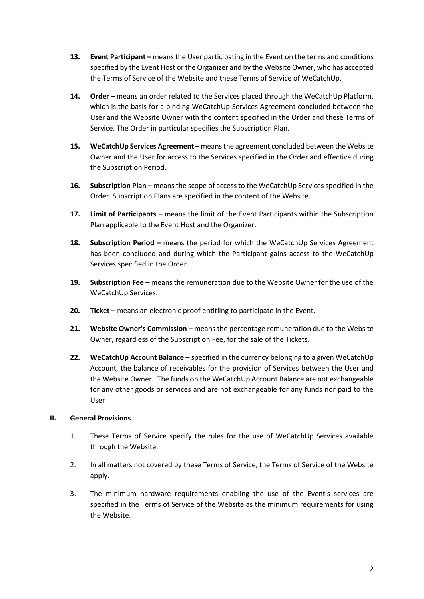- **13. Event Participant** means the User participating in the Event on the terms and conditions specified by the Event Host or the Organizer and by the Website Owner, who has accepted the Terms of Service of the Website and these Terms of Service of WeCatchUp.
- **14. Order –** means an order related to the Services placed through the WeCatchUp Platform, which is the basis for a binding WeCatchUp Services Agreement concluded between the User and the Website Owner with the content specified in the Order and these Terms of Service. The Order in particular specifies the Subscription Plan.
- **15. WeCatchUp Services Agreement**  means the agreement concluded between the Website Owner and the User for access to the Services specified in the Order and effective during the Subscription Period.
- **16.** Subscription Plan means the scope of access to the WeCatchUp Services specified in the Order. Subscription Plans are specified in the content of the Website.
- **17. Limit of Participants –** means the limit of the Event Participants within the Subscription Plan applicable to the Event Host and the Organizer.
- **18.** Subscription Period means the period for which the WeCatchUp Services Agreement has been concluded and during which the Participant gains access to the WeCatchUp Services specified in the Order.
- **19. Subscription Fee –** means the remuneration due to the Website Owner for the use of the WeCatchUp Services.
- **20. Ticket –** means an electronic proof entitling to participate in the Event.
- **21. Website Owner's Commission –** means the percentage remuneration due to the Website Owner, regardless of the Subscription Fee, for the sale of the Tickets.
- **22. WeCatchUp Account Balance –** specified in the currency belonging to a given WeCatchUp Account, the balance of receivables for the provision of Services between the User and the Website Owner.. The funds on the WeCatchUp Account Balance are not exchangeable for any other goods or services and are not exchangeable for any funds nor paid to the User.

#### **II. General Provisions**

- 1. These Terms of Service specify the rules for the use of WeCatchUp Services available through the Website.
- 2. In all matters not covered by these Terms of Service, the Terms of Service of the Website apply.
- 3. The minimum hardware requirements enabling the use of the Event's services are specified in the Terms of Service of the Website as the minimum requirements for using the Website.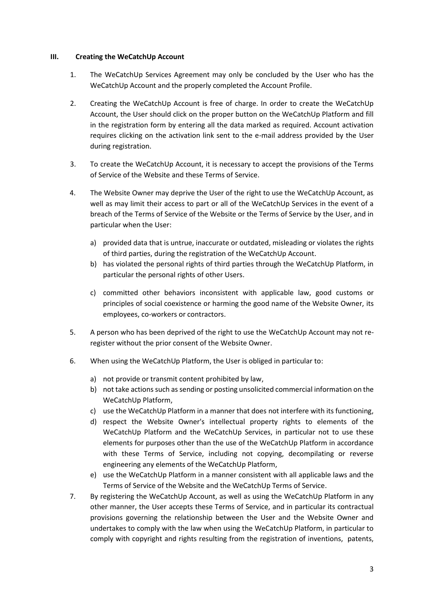#### **III. Creating the WeCatchUp Account**

- 1. The WeCatchUp Services Agreement may only be concluded by the User who has the WeCatchUp Account and the properly completed the Account Profile.
- 2. Creating the WeCatchUp Account is free of charge. In order to create the WeCatchUp Account, the User should click on the proper button on the WeCatchUp Platform and fill in the registration form by entering all the data marked as required. Account activation requires clicking on the activation link sent to the e-mail address provided by the User during registration.
- 3. To create the WeCatchUp Account, it is necessary to accept the provisions of the Terms of Service of the Website and these Terms of Service.
- 4. The Website Owner may deprive the User of the right to use the WeCatchUp Account, as well as may limit their access to part or all of the WeCatchUp Services in the event of a breach of the Terms of Service of the Website or the Terms of Service by the User, and in particular when the User:
	- a) provided data that is untrue, inaccurate or outdated, misleading or violates the rights of third parties, during the registration of the WeCatchUp Account.
	- b) has violated the personal rights of third parties through the WeCatchUp Platform, in particular the personal rights of other Users.
	- c) committed other behaviors inconsistent with applicable law, good customs or principles of social coexistence or harming the good name of the Website Owner, its employees, co-workers or contractors.
- 5. A person who has been deprived of the right to use the WeCatchUp Account may not reregister without the prior consent of the Website Owner.
- 6. When using the WeCatchUp Platform, the User is obliged in particular to:
	- a) not provide or transmit content prohibited by law,
	- b) not take actions such as sending or posting unsolicited commercial information on the WeCatchUp Platform,
	- c) use the WeCatchUp Platform in a manner that does not interfere with its functioning,
	- d) respect the Website Owner's intellectual property rights to elements of the WeCatchUp Platform and the WeCatchUp Services, in particular not to use these elements for purposes other than the use of the WeCatchUp Platform in accordance with these Terms of Service, including not copying, decompilating or reverse engineering any elements of the WeCatchUp Platform,
	- e) use the WeCatchUp Platform in a manner consistent with all applicable laws and the Terms of Service of the Website and the WeCatchUp Terms of Service.
- 7. By registering the WeCatchUp Account, as well as using the WeCatchUp Platform in any other manner, the User accepts these Terms of Service, and in particular its contractual provisions governing the relationship between the User and the Website Owner and undertakes to comply with the law when using the WeCatchUp Platform, in particular to comply with copyright and rights resulting from the registration of inventions, patents,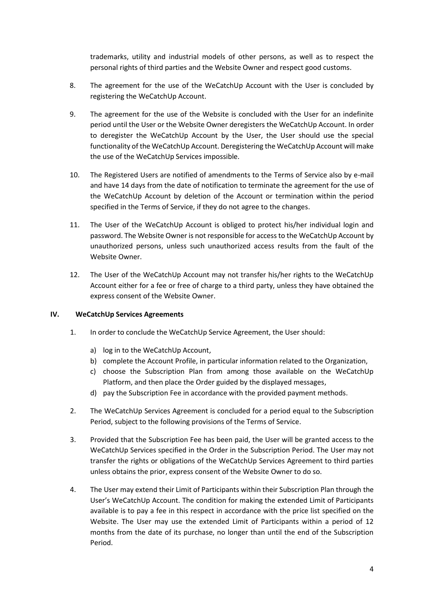trademarks, utility and industrial models of other persons, as well as to respect the personal rights of third parties and the Website Owner and respect good customs.

- 8. The agreement for the use of the WeCatchUp Account with the User is concluded by registering the WeCatchUp Account.
- 9. The agreement for the use of the Website is concluded with the User for an indefinite period until the User or the Website Owner deregisters the WeCatchUp Account. In order to deregister the WeCatchUp Account by the User, the User should use the special functionality of the WeCatchUp Account. Deregistering the WeCatchUp Account will make the use of the WeCatchUp Services impossible.
- 10. The Registered Users are notified of amendments to the Terms of Service also by e-mail and have 14 days from the date of notification to terminate the agreement for the use of the WeCatchUp Account by deletion of the Account or termination within the period specified in the Terms of Service, if they do not agree to the changes.
- 11. The User of the WeCatchUp Account is obliged to protect his/her individual login and password. The Website Owner is not responsible for access to the WeCatchUp Account by unauthorized persons, unless such unauthorized access results from the fault of the Website Owner.
- 12. The User of the WeCatchUp Account may not transfer his/her rights to the WeCatchUp Account either for a fee or free of charge to a third party, unless they have obtained the express consent of the Website Owner.

# **IV. WeCatchUp Services Agreements**

- 1. In order to conclude the WeCatchUp Service Agreement, the User should:
	- a) log in to the WeCatchUp Account,
	- b) complete the Account Profile, in particular information related to the Organization,
	- c) choose the Subscription Plan from among those available on the WeCatchUp Platform, and then place the Order guided by the displayed messages,
	- d) pay the Subscription Fee in accordance with the provided payment methods.
- 2. The WeCatchUp Services Agreement is concluded for a period equal to the Subscription Period, subject to the following provisions of the Terms of Service.
- 3. Provided that the Subscription Fee has been paid, the User will be granted access to the WeCatchUp Services specified in the Order in the Subscription Period. The User may not transfer the rights or obligations of the WeCatchUp Services Agreement to third parties unless obtains the prior, express consent of the Website Owner to do so.
- 4. The User may extend their Limit of Participants within their Subscription Plan through the User's WeCatchUp Account. The condition for making the extended Limit of Participants available is to pay a fee in this respect in accordance with the price list specified on the Website. The User may use the extended Limit of Participants within a period of 12 months from the date of its purchase, no longer than until the end of the Subscription Period.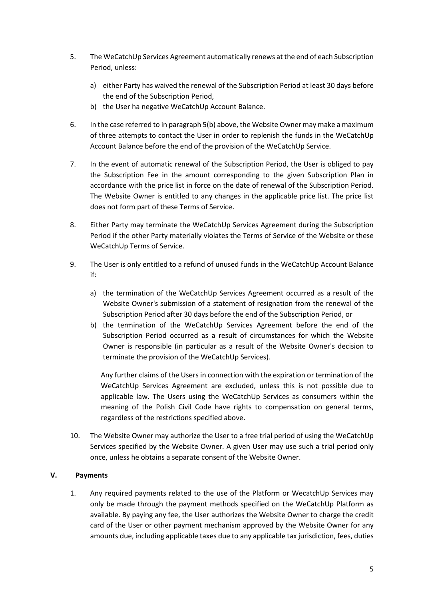- 5. The WeCatchUp Services Agreement automatically renews at the end of each Subscription Period, unless:
	- a) either Party has waived the renewal of the Subscription Period at least 30 days before the end of the Subscription Period,
	- b) the User ha negative WeCatchUp Account Balance.
- 6. In the case referred to in paragraph 5(b) above, the Website Owner may make a maximum of three attempts to contact the User in order to replenish the funds in the WeCatchUp Account Balance before the end of the provision of the WeCatchUp Service.
- 7. In the event of automatic renewal of the Subscription Period, the User is obliged to pay the Subscription Fee in the amount corresponding to the given Subscription Plan in accordance with the price list in force on the date of renewal of the Subscription Period. The Website Owner is entitled to any changes in the applicable price list. The price list does not form part of these Terms of Service.
- 8. Either Party may terminate the WeCatchUp Services Agreement during the Subscription Period if the other Party materially violates the Terms of Service of the Website or these WeCatchUp Terms of Service.
- 9. The User is only entitled to a refund of unused funds in the WeCatchUp Account Balance if:
	- a) the termination of the WeCatchUp Services Agreement occurred as a result of the Website Owner's submission of a statement of resignation from the renewal of the Subscription Period after 30 days before the end of the Subscription Period, or
	- b) the termination of the WeCatchUp Services Agreement before the end of the Subscription Period occurred as a result of circumstances for which the Website Owner is responsible (in particular as a result of the Website Owner's decision to terminate the provision of the WeCatchUp Services).

Any further claims of the Users in connection with the expiration or termination of the WeCatchUp Services Agreement are excluded, unless this is not possible due to applicable law. The Users using the WeCatchUp Services as consumers within the meaning of the Polish Civil Code have rights to compensation on general terms, regardless of the restrictions specified above.

10. The Website Owner may authorize the User to a free trial period of using the WeCatchUp Services specified by the Website Owner. A given User may use such a trial period only once, unless he obtains a separate consent of the Website Owner.

# **V. Payments**

1. Any required payments related to the use of the Platform or WecatchUp Services may only be made through the payment methods specified on the WeCatchUp Platform as available. By paying any fee, the User authorizes the Website Owner to charge the credit card of the User or other payment mechanism approved by the Website Owner for any amounts due, including applicable taxes due to any applicable tax jurisdiction, fees, duties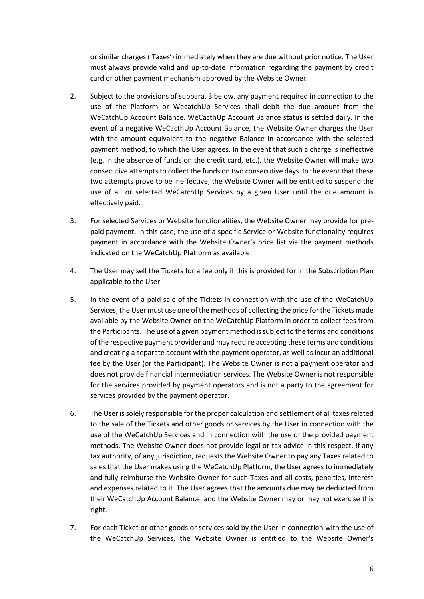or similar charges ('Taxes') immediately when they are due without prior notice. The User must always provide valid and up-to-date information regarding the payment by credit card or other payment mechanism approved by the Website Owner.

- 2. Subject to the provisions of subpara. 3 below, any payment required in connection to the use of the Platform or WecatchUp Services shall debit the due amount from the WeCatchUp Account Balance. WeCacthUp Account Balance status is settled daily. In the event of a negative WeCacthUp Account Balance, the Website Owner charges the User with the amount equivalent to the negative Balance in accordance with the selected payment method, to which the User agrees. In the event that such a charge is ineffective (e.g. in the absence of funds on the credit card, etc.), the Website Owner will make two consecutive attempts to collect the funds on two consecutive days. In the event that these two attempts prove to be ineffective, the Website Owner will be entitled to suspend the use of all or selected WeCatchUp Services by a given User until the due amount is effectively paid.
- 3. For selected Services or Website functionalities, the Website Owner may provide for prepaid payment. In this case, the use of a specific Service or Website functionality requires payment in accordance with the Website Owner's price list via the payment methods indicated on the WeCatchUp Platform as available.
- 4. The User may sell the Tickets for a fee only if this is provided for in the Subscription Plan applicable to the User.
- 5. In the event of a paid sale of the Tickets in connection with the use of the WeCatchUp Services, the User must use one of the methods of collecting the price for the Tickets made available by the Website Owner on the WeCatchUp Platform in order to collect fees from the Participants. The use of a given payment method is subject to the terms and conditions of the respective payment provider and may require accepting these terms and conditions and creating a separate account with the payment operator, as well as incur an additional fee by the User (or the Participant). The Website Owner is not a payment operator and does not provide financial intermediation services. The Website Owner is not responsible for the services provided by payment operators and is not a party to the agreement for services provided by the payment operator.
- 6. The User is solely responsible for the proper calculation and settlement of all taxes related to the sale of the Tickets and other goods or services by the User in connection with the use of the WeCatchUp Services and in connection with the use of the provided payment methods. The Website Owner does not provide legal or tax advice in this respect. If any tax authority, of any jurisdiction, requests the Website Owner to pay any Taxes related to sales that the User makes using the WeCatchUp Platform, the User agrees to immediately and fully reimburse the Website Owner for such Taxes and all costs, penalties, interest and expenses related to it. The User agrees that the amounts due may be deducted from their WeCatchUp Account Balance, and the Website Owner may or may not exercise this right.
- 7. For each Ticket or other goods or services sold by the User in connection with the use of the WeCatchUp Services, the Website Owner is entitled to the Website Owner's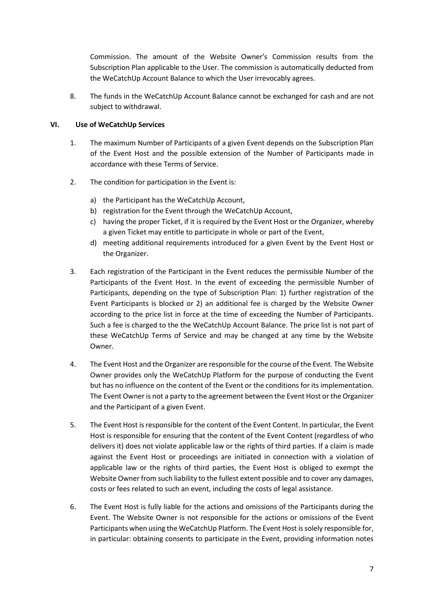Commission. The amount of the Website Owner's Commission results from the Subscription Plan applicable to the User. The commission is automatically deducted from the WeCatchUp Account Balance to which the User irrevocably agrees.

8. The funds in the WeCatchUp Account Balance cannot be exchanged for cash and are not subject to withdrawal.

# **VI. Use of WeCatchUp Services**

- 1. The maximum Number of Participants of a given Event depends on the Subscription Plan of the Event Host and the possible extension of the Number of Participants made in accordance with these Terms of Service.
- 2. The condition for participation in the Event is:
	- a) the Participant has the WeCatchUp Account,
	- b) registration for the Event through the WeCatchUp Account,
	- c) having the proper Ticket, if it is required by the Event Host or the Organizer, whereby a given Ticket may entitle to participate in whole or part of the Event,
	- d) meeting additional requirements introduced for a given Event by the Event Host or the Organizer.
- 3. Each registration of the Participant in the Event reduces the permissible Number of the Participants of the Event Host. In the event of exceeding the permissible Number of Participants, depending on the type of Subscription Plan: 1) further registration of the Event Participants is blocked or 2) an additional fee is charged by the Website Owner according to the price list in force at the time of exceeding the Number of Participants. Such a fee is charged to the the WeCatchUp Account Balance. The price list is not part of these WeCatchUp Terms of Service and may be changed at any time by the Website Owner.
- 4. The Event Host and the Organizer are responsible for the course of the Event. The Website Owner provides only the WeCatchUp Platform for the purpose of conducting the Event but has no influence on the content of the Event or the conditions for its implementation. The Event Owner is not a party to the agreement between the Event Host or the Organizer and the Participant of a given Event.
- 5. The Event Host is responsible for the content of the Event Content. In particular, the Event Host is responsible for ensuring that the content of the Event Content (regardless of who delivers it) does not violate applicable law or the rights of third parties. If a claim is made against the Event Host or proceedings are initiated in connection with a violation of applicable law or the rights of third parties, the Event Host is obliged to exempt the Website Owner from such liability to the fullest extent possible and to cover any damages, costs or fees related to such an event, including the costs of legal assistance.
- 6. The Event Host is fully liable for the actions and omissions of the Participants during the Event. The Website Owner is not responsible for the actions or omissions of the Event Participants when using the WeCatchUp Platform. The Event Host is solely responsible for, in particular: obtaining consents to participate in the Event, providing information notes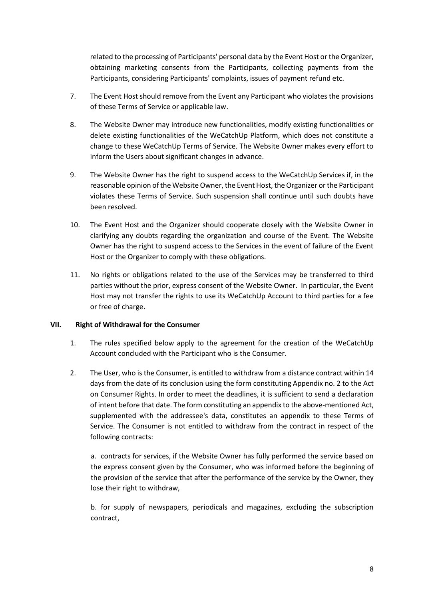related to the processing of Participants' personal data by the Event Host or the Organizer, obtaining marketing consents from the Participants, collecting payments from the Participants, considering Participants' complaints, issues of payment refund etc.

- 7. The Event Host should remove from the Event any Participant who violates the provisions of these Terms of Service or applicable law.
- 8. The Website Owner may introduce new functionalities, modify existing functionalities or delete existing functionalities of the WeCatchUp Platform, which does not constitute a change to these WeCatchUp Terms of Service. The Website Owner makes every effort to inform the Users about significant changes in advance.
- 9. The Website Owner has the right to suspend access to the WeCatchUp Services if, in the reasonable opinion of the Website Owner, the Event Host, the Organizer or the Participant violates these Terms of Service. Such suspension shall continue until such doubts have been resolved.
- 10. The Event Host and the Organizer should cooperate closely with the Website Owner in clarifying any doubts regarding the organization and course of the Event. The Website Owner has the right to suspend access to the Services in the event of failure of the Event Host or the Organizer to comply with these obligations.
- 11. No rights or obligations related to the use of the Services may be transferred to third parties without the prior, express consent of the Website Owner. In particular, the Event Host may not transfer the rights to use its WeCatchUp Account to third parties for a fee or free of charge.

#### **VII. Right of Withdrawal for the Consumer**

- 1. The rules specified below apply to the agreement for the creation of the WeCatchUp Account concluded with the Participant who is the Consumer.
- 2. The User, who is the Consumer, is entitled to withdraw from a distance contract within 14 days from the date of its conclusion using the form constituting Appendix no. 2 to the Act on Consumer Rights. In order to meet the deadlines, it is sufficient to send a declaration of intent before that date. The form constituting an appendix to the above-mentioned Act, supplemented with the addressee's data, constitutes an appendix to these Terms of Service. The Consumer is not entitled to withdraw from the contract in respect of the following contracts:

a. contracts for services, if the Website Owner has fully performed the service based on the express consent given by the Consumer, who was informed before the beginning of the provision of the service that after the performance of the service by the Owner, they lose their right to withdraw,

b. for supply of newspapers, periodicals and magazines, excluding the subscription contract,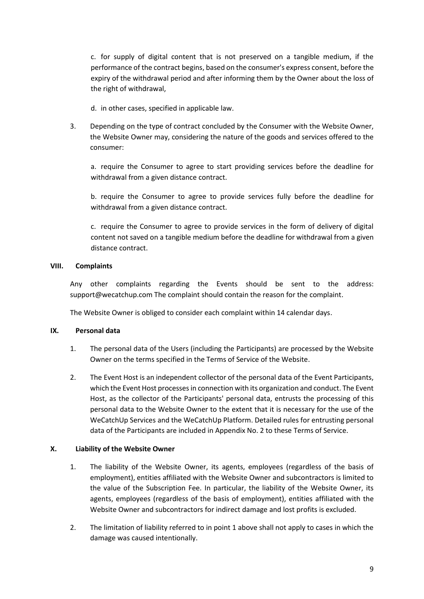c. for supply of digital content that is not preserved on a tangible medium, if the performance of the contract begins, based on the consumer's express consent, before the expiry of the withdrawal period and after informing them by the Owner about the loss of the right of withdrawal,

- d. in other cases, specified in applicable law.
- 3. Depending on the type of contract concluded by the Consumer with the Website Owner, the Website Owner may, considering the nature of the goods and services offered to the consumer:

a. require the Consumer to agree to start providing services before the deadline for withdrawal from a given distance contract.

b. require the Consumer to agree to provide services fully before the deadline for withdrawal from a given distance contract.

c. require the Consumer to agree to provide services in the form of delivery of digital content not saved on a tangible medium before the deadline for withdrawal from a given distance contract.

## **VIII. Complaints**

Any other complaints regarding the Events should be sent to the address: support@wecatchup.com The complaint should contain the reason for the complaint.

The Website Owner is obliged to consider each complaint within 14 calendar days.

#### **IX. Personal data**

- 1. The personal data of the Users (including the Participants) are processed by the Website Owner on the terms specified in the Terms of Service of the Website.
- 2. The Event Host is an independent collector of the personal data of the Event Participants, which the Event Host processes in connection with its organization and conduct. The Event Host, as the collector of the Participants' personal data, entrusts the processing of this personal data to the Website Owner to the extent that it is necessary for the use of the WeCatchUp Services and the WeCatchUp Platform. Detailed rules for entrusting personal data of the Participants are included in Appendix No. 2 to these Terms of Service.

# **X. Liability of the Website Owner**

- 1. The liability of the Website Owner, its agents, employees (regardless of the basis of employment), entities affiliated with the Website Owner and subcontractors is limited to the value of the Subscription Fee. In particular, the liability of the Website Owner, its agents, employees (regardless of the basis of employment), entities affiliated with the Website Owner and subcontractors for indirect damage and lost profits is excluded.
- 2. The limitation of liability referred to in point 1 above shall not apply to cases in which the damage was caused intentionally.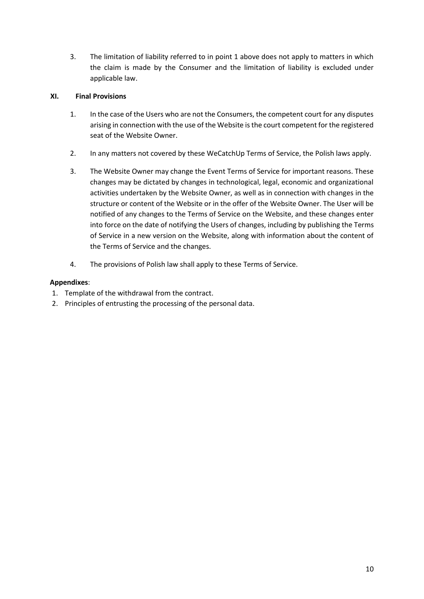3. The limitation of liability referred to in point 1 above does not apply to matters in which the claim is made by the Consumer and the limitation of liability is excluded under applicable law.

# **XI. Final Provisions**

- 1. In the case of the Users who are not the Consumers, the competent court for any disputes arising in connection with the use of the Website is the court competent for the registered seat of the Website Owner.
- 2. In any matters not covered by these WeCatchUp Terms of Service, the Polish laws apply.
- 3. The Website Owner may change the Event Terms of Service for important reasons. These changes may be dictated by changes in technological, legal, economic and organizational activities undertaken by the Website Owner, as well as in connection with changes in the structure or content of the Website or in the offer of the Website Owner. The User will be notified of any changes to the Terms of Service on the Website, and these changes enter into force on the date of notifying the Users of changes, including by publishing the Terms of Service in a new version on the Website, along with information about the content of the Terms of Service and the changes.
- 4. The provisions of Polish law shall apply to these Terms of Service.

# **Appendixes**:

- 1. Template of the withdrawal from the contract.
- 2. Principles of entrusting the processing of the personal data.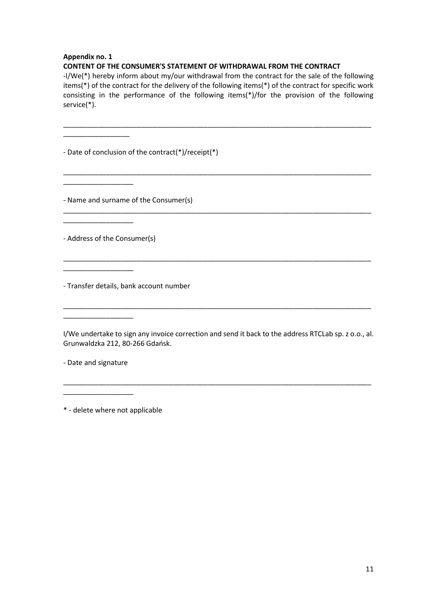## **Appendix no. 1**

\_\_\_\_\_\_\_\_\_\_\_\_\_\_\_\_\_

\_\_\_\_\_\_\_\_\_\_\_\_\_\_\_\_\_\_

\_\_\_\_\_\_\_\_\_\_\_\_\_\_\_\_\_\_

\_\_\_\_\_\_\_\_\_\_\_\_\_\_\_\_\_\_

\_\_\_\_\_\_\_\_\_\_\_\_\_\_\_\_\_\_

## **CONTENT OF THE CONSUMER'S STATEMENT OF WITHDRAWAL FROM THE CONTRACT**

-I/We(\*) hereby inform about my/our withdrawal from the contract for the sale of the following items(\*) of the contract for the delivery of the following items(\*) of the contract for specific work consisting in the performance of the following items(\*)/for the provision of the following service(\*).

\_\_\_\_\_\_\_\_\_\_\_\_\_\_\_\_\_\_\_\_\_\_\_\_\_\_\_\_\_\_\_\_\_\_\_\_\_\_\_\_\_\_\_\_\_\_\_\_\_\_\_\_\_\_\_\_\_\_\_\_\_\_\_\_\_\_\_\_\_\_\_\_\_\_\_\_\_\_\_

\_\_\_\_\_\_\_\_\_\_\_\_\_\_\_\_\_\_\_\_\_\_\_\_\_\_\_\_\_\_\_\_\_\_\_\_\_\_\_\_\_\_\_\_\_\_\_\_\_\_\_\_\_\_\_\_\_\_\_\_\_\_\_\_\_\_\_\_\_\_\_\_\_\_\_\_\_\_\_

\_\_\_\_\_\_\_\_\_\_\_\_\_\_\_\_\_\_\_\_\_\_\_\_\_\_\_\_\_\_\_\_\_\_\_\_\_\_\_\_\_\_\_\_\_\_\_\_\_\_\_\_\_\_\_\_\_\_\_\_\_\_\_\_\_\_\_\_\_\_\_\_\_\_\_\_\_\_\_

\_\_\_\_\_\_\_\_\_\_\_\_\_\_\_\_\_\_\_\_\_\_\_\_\_\_\_\_\_\_\_\_\_\_\_\_\_\_\_\_\_\_\_\_\_\_\_\_\_\_\_\_\_\_\_\_\_\_\_\_\_\_\_\_\_\_\_\_\_\_\_\_\_\_\_\_\_\_\_

- Date of conclusion of the contract(\*)/receipt(\*)

- Name and surname of the Consumer(s)

- Address of the Consumer(s)

- Transfer details, bank account number

I/We undertake to sign any invoice correction and send it back to the address RTCLab sp. z o.o., al. Grunwaldzka 212, 80-266 Gdańsk.

\_\_\_\_\_\_\_\_\_\_\_\_\_\_\_\_\_\_\_\_\_\_\_\_\_\_\_\_\_\_\_\_\_\_\_\_\_\_\_\_\_\_\_\_\_\_\_\_\_\_\_\_\_\_\_\_\_\_\_\_\_\_\_\_\_\_\_\_\_\_\_\_\_\_\_\_\_\_\_

\_\_\_\_\_\_\_\_\_\_\_\_\_\_\_\_\_\_\_\_\_\_\_\_\_\_\_\_\_\_\_\_\_\_\_\_\_\_\_\_\_\_\_\_\_\_\_\_\_\_\_\_\_\_\_\_\_\_\_\_\_\_\_\_\_\_\_\_\_\_\_\_\_\_\_\_\_\_\_

- Date and signature

\_\_\_\_\_\_\_\_\_\_\_\_\_\_\_\_\_\_

\* - delete where not applicable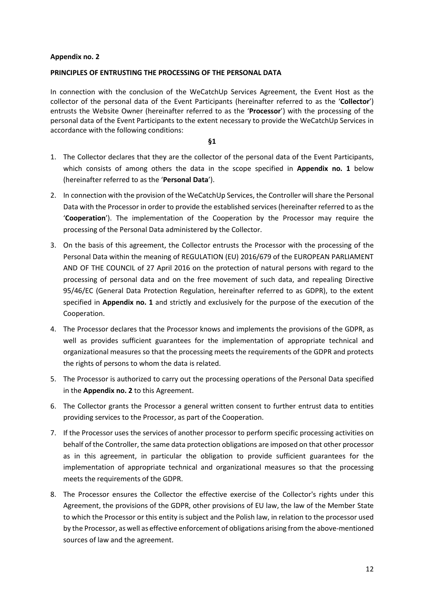#### **Appendix no. 2**

## **PRINCIPLES OF ENTRUSTING THE PROCESSING OF THE PERSONAL DATA**

In connection with the conclusion of the WeCatchUp Services Agreement, the Event Host as the collector of the personal data of the Event Participants (hereinafter referred to as the '**Collector**') entrusts the Website Owner (hereinafter referred to as the '**Processor**') with the processing of the personal data of the Event Participants to the extent necessary to provide the WeCatchUp Services in accordance with the following conditions:

**§1**

- 1. The Collector declares that they are the collector of the personal data of the Event Participants, which consists of among others the data in the scope specified in **Appendix no. 1** below (hereinafter referred to as the '**Personal Data**').
- 2. In connection with the provision of the WeCatchUp Services, the Controller will share the Personal Data with the Processor in order to provide the established services (hereinafter referred to as the '**Cooperation**'). The implementation of the Cooperation by the Processor may require the processing of the Personal Data administered by the Collector.
- 3. On the basis of this agreement, the Collector entrusts the Processor with the processing of the Personal Data within the meaning of REGULATION (EU) 2016/679 of the EUROPEAN PARLIAMENT AND OF THE COUNCIL of 27 April 2016 on the protection of natural persons with regard to the processing of personal data and on the free movement of such data, and repealing Directive 95/46/EC (General Data Protection Regulation, hereinafter referred to as GDPR), to the extent specified in **Appendix no. 1** and strictly and exclusively for the purpose of the execution of the Cooperation.
- 4. The Processor declares that the Processor knows and implements the provisions of the GDPR, as well as provides sufficient guarantees for the implementation of appropriate technical and organizational measures so that the processing meets the requirements of the GDPR and protects the rights of persons to whom the data is related.
- 5. The Processor is authorized to carry out the processing operations of the Personal Data specified in the **Appendix no. 2** to this Agreement.
- 6. The Collector grants the Processor a general written consent to further entrust data to entities providing services to the Processor, as part of the Cooperation.
- 7. If the Processor uses the services of another processor to perform specific processing activities on behalf of the Controller, the same data protection obligations are imposed on that other processor as in this agreement, in particular the obligation to provide sufficient guarantees for the implementation of appropriate technical and organizational measures so that the processing meets the requirements of the GDPR.
- 8. The Processor ensures the Collector the effective exercise of the Collector's rights under this Agreement, the provisions of the GDPR, other provisions of EU law, the law of the Member State to which the Processor or this entity is subject and the Polish law, in relation to the processor used by the Processor, as well as effective enforcement of obligations arising from the above-mentioned sources of law and the agreement.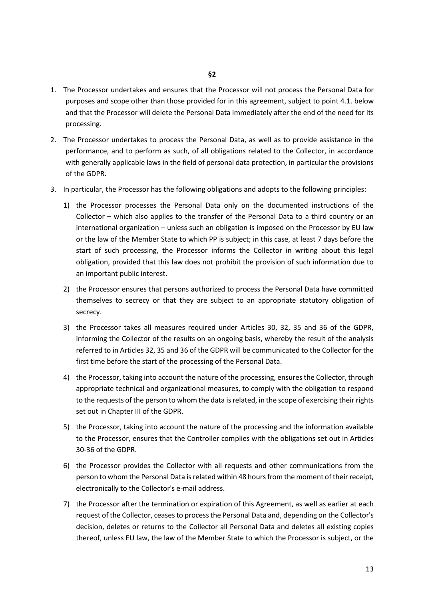- 1. The Processor undertakes and ensures that the Processor will not process the Personal Data for purposes and scope other than those provided for in this agreement, subject to point 4.1. below and that the Processor will delete the Personal Data immediately after the end of the need for its processing.
- 2. The Processor undertakes to process the Personal Data, as well as to provide assistance in the performance, and to perform as such, of all obligations related to the Collector, in accordance with generally applicable laws in the field of personal data protection, in particular the provisions of the GDPR.
- 3. In particular, the Processor has the following obligations and adopts to the following principles:
	- 1) the Processor processes the Personal Data only on the documented instructions of the Collector – which also applies to the transfer of the Personal Data to a third country or an international organization – unless such an obligation is imposed on the Processor by EU law or the law of the Member State to which PP is subject; in this case, at least 7 days before the start of such processing, the Processor informs the Collector in writing about this legal obligation, provided that this law does not prohibit the provision of such information due to an important public interest.
	- 2) the Processor ensures that persons authorized to process the Personal Data have committed themselves to secrecy or that they are subject to an appropriate statutory obligation of secrecy.
	- 3) the Processor takes all measures required under Articles 30, 32, 35 and 36 of the GDPR, informing the Collector of the results on an ongoing basis, whereby the result of the analysis referred to in Articles 32, 35 and 36 of the GDPR will be communicated to the Collector for the first time before the start of the processing of the Personal Data.
	- 4) the Processor, taking into account the nature of the processing, ensures the Collector, through appropriate technical and organizational measures, to comply with the obligation to respond to the requests of the person to whom the data is related, in the scope of exercising their rights set out in Chapter III of the GDPR.
	- 5) the Processor, taking into account the nature of the processing and the information available to the Processor, ensures that the Controller complies with the obligations set out in Articles 30-36 of the GDPR.
	- 6) the Processor provides the Collector with all requests and other communications from the person to whom the Personal Data is related within 48 hours from the moment of their receipt, electronically to the Collector's e-mail address.
	- 7) the Processor after the termination or expiration of this Agreement, as well as earlier at each request of the Collector, ceases to processthe Personal Data and, depending on the Collector's decision, deletes or returns to the Collector all Personal Data and deletes all existing copies thereof, unless EU law, the law of the Member State to which the Processor is subject, or the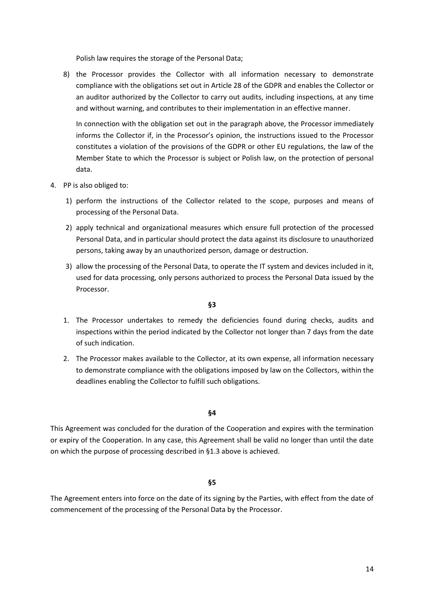Polish law requires the storage of the Personal Data;

8) the Processor provides the Collector with all information necessary to demonstrate compliance with the obligations set out in Article 28 of the GDPR and enables the Collector or an auditor authorized by the Collector to carry out audits, including inspections, at any time and without warning, and contributes to their implementation in an effective manner.

In connection with the obligation set out in the paragraph above, the Processor immediately informs the Collector if, in the Processor's opinion, the instructions issued to the Processor constitutes a violation of the provisions of the GDPR or other EU regulations, the law of the Member State to which the Processor is subject or Polish law, on the protection of personal data.

- 4. PP is also obliged to:
	- 1) perform the instructions of the Collector related to the scope, purposes and means of processing of the Personal Data.
	- 2) apply technical and organizational measures which ensure full protection of the processed Personal Data, and in particular should protect the data against its disclosure to unauthorized persons, taking away by an unauthorized person, damage or destruction.
	- 3) allow the processing of the Personal Data, to operate the IT system and devices included in it, used for data processing, only persons authorized to process the Personal Data issued by the Processor.

#### **§3**

- 1. The Processor undertakes to remedy the deficiencies found during checks, audits and inspections within the period indicated by the Collector not longer than 7 days from the date of such indication.
- 2. The Processor makes available to the Collector, at its own expense, all information necessary to demonstrate compliance with the obligations imposed by law on the Collectors, within the deadlines enabling the Collector to fulfill such obligations.

#### **§4**

This Agreement was concluded for the duration of the Cooperation and expires with the termination or expiry of the Cooperation. In any case, this Agreement shall be valid no longer than until the date on which the purpose of processing described in §1.3 above is achieved.

#### **§5**

The Agreement enters into force on the date of its signing by the Parties, with effect from the date of commencement of the processing of the Personal Data by the Processor.